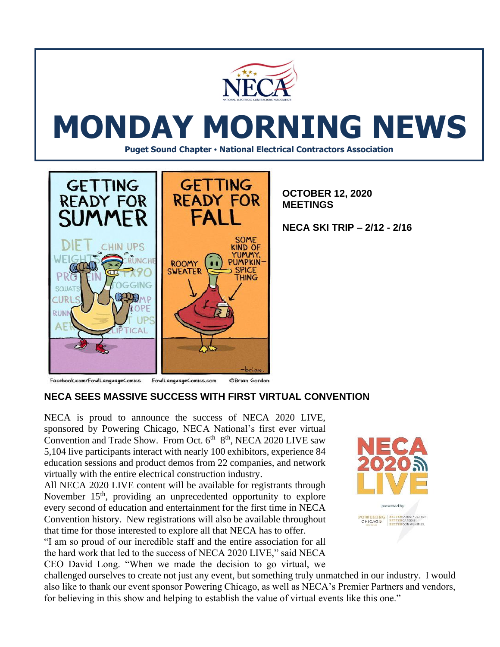

# **MONDAY MORNING NEWS**

**Puget Sound Chapter • National Electrical Contractors Association**



**OCTOBER 12, 2020 MEETINGS**

**NECA SKI TRIP – 2/12 - 2/16**

Facebook.com/FowlLanguageComics FowlLanguageComics.com ©Brian Gordon

## **NECA SEES MASSIVE SUCCESS WITH FIRST VIRTUAL CONVENTION**

NECA is proud to announce the success of NECA 2020 LIVE, sponsored by Powering Chicago, NECA National's first ever virtual Convention and Trade Show. From Oct.  $6<sup>th</sup>-8<sup>th</sup>$ , NECA 2020 LIVE saw 5,104 live participants interact with nearly 100 exhibitors, experience 84 education sessions and product demos from 22 companies, and network virtually with the entire electrical construction industry.

All NECA 2020 LIVE content will be available for registrants through November  $15<sup>th</sup>$ , providing an unprecedented opportunity to explore every second of education and entertainment for the first time in NECA Convention history. New registrations will also be available throughout that time for those interested to explore all that NECA has to offer.

"I am so proud of our incredible staff and the entire association for all the hard work that led to the success of NECA 2020 LIVE," said NECA CEO David Long. "When we made the decision to go virtual, we



challenged ourselves to create not just any event, but something truly unmatched in our industry. I would also like to thank our event sponsor Powering Chicago, as well as NECA's Premier Partners and vendors, for believing in this show and helping to establish the value of virtual events like this one."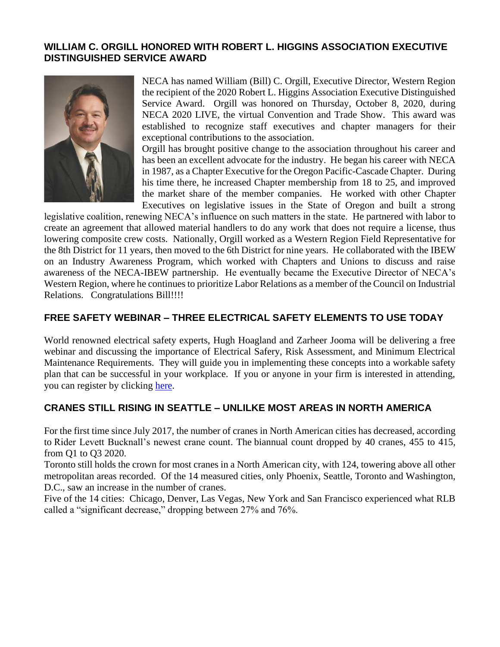#### **WILLIAM C. ORGILL HONORED WITH ROBERT L. HIGGINS ASSOCIATION EXECUTIVE DISTINGUISHED SERVICE AWARD**



NECA has named William (Bill) C. Orgill, Executive Director, Western Region the recipient of the 2020 Robert L. Higgins Association Executive Distinguished Service Award. Orgill was honored on Thursday, October 8, 2020, during NECA 2020 LIVE, the virtual Convention and Trade Show. This award was established to recognize staff executives and chapter managers for their exceptional contributions to the association.

Orgill has brought positive change to the association throughout his career and has been an excellent advocate for the industry. He began his career with NECA in 1987, as a Chapter Executive for the Oregon Pacific-Cascade Chapter. During his time there, he increased Chapter membership from 18 to 25, and improved the market share of the member companies. He worked with other Chapter Executives on legislative issues in the State of Oregon and built a strong

legislative coalition, renewing NECA's influence on such matters in the state. He partnered with labor to create an agreement that allowed material handlers to do any work that does not require a license, thus lowering composite crew costs. Nationally, Orgill worked as a Western Region Field Representative for the 8th District for 11 years, then moved to the 6th District for nine years. He collaborated with the IBEW on an Industry Awareness Program, which worked with Chapters and Unions to discuss and raise awareness of the NECA-IBEW partnership. He eventually became the Executive Director of NECA's Western Region, where he continues to prioritize Labor Relations as a member of the Council on Industrial Relations. Congratulations Bill!!!!

#### **FREE SAFETY WEBINAR – THREE ELECTRICAL SAFETY ELEMENTS TO USE TODAY**

World renowned electrical safety experts, Hugh Hoagland and Zarheer Jooma will be delivering a free webinar and discussing the importance of Electrical Safery, Risk Assessment, and Minimum Electrical Maintenance Requirements. They will guide you in implementing these concepts into a workable safety plan that can be successful in your workplace. If you or anyone in your firm is interested in attending, you can register by clicking [here.](https://e-hazard.com/free-webinar-3-electrical-safety-elements-to-use-today/)

#### **CRANES STILL RISING IN SEATTLE – UNLILKE MOST AREAS IN NORTH AMERICA**

For the first time since July 2017, the number of cranes in North American cities has decreased, according to [Rider Levett Bucknall's newest crane count.](https://www.documentcloud.org/documents/7222540-Q3-2020-Crane-Index.html) The [biannual count dropped by 40 cranes,](https://www.documentcloud.org/documents/7222549-RLB-Crane-Count-History-Q3-2020.html) 455 to 415, from Q1 to Q3 2020.

Toronto still holds the crown for most cranes in a North American city, with 124, towering above all other metropolitan areas recorded. Of the 14 measured cities, only Phoenix, Seattle, Toronto and Washington, D.C., saw an increase in the number of cranes.

Five of the 14 cities: Chicago, Denver, Las Vegas, New York and San Francisco experienced what RLB called a "significant decrease," dropping between 27% and 76%.